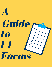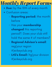Monthly Report Forms

- . Due: by the 10th of every month
- Confusion areas:
	- o Reporting period: the month before
	- **In Has your membership** changed this reporting period?: Does your club still hold the same # of members?
	- Regional Advisor 's email: reg(your region #)@iikeyclub.org
	- LtG's Email: ltg(your division #)@iikeyclub.org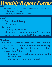### Why? Monthly Report Forms

- Update your Lt. Governor & District Executive Board 1. on the status of your club
- 2. Learn how to improve your club

### How?

- 1. Go to **iikeyclub.org**
- 2. "Resources"
- "Forms " 3.
- 4. "Monthly Report Form"
- 5. Fill out with as much accurate information and images as possible by the **10th of every month**

#### **Grading**

- All MRFs (Monthly Report Forms) are reviewed by our Stat. Secretary (statseceiikeyclub.org)
- Each form is graded out of 9 points, with the possibility of 2 bonus points
	- o 1 bonus point for submission before the 8th of the month
	- 1 bonus point for pictures included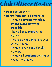# Club Officer Roster

- · Due: September 15
- Notes from our I-I Secretary:
	- o Include personal emails & phone numbers when possible
	- The earlier submitted, the better!
	- Please do not abbreviate your school' s name
	- o Include Kiwanis and Faculty Advisors
	- o Include all students serving as executive officers